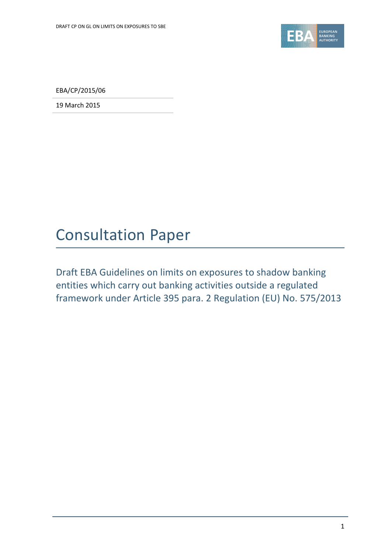

EBA/CP/2015/06

19 March 2015

# Consultation Paper

Draft EBA Guidelines on limits on exposures to shadow banking entities which carry out banking activities outside a regulated framework under Article 395 para. 2 Regulation (EU) No. 575/2013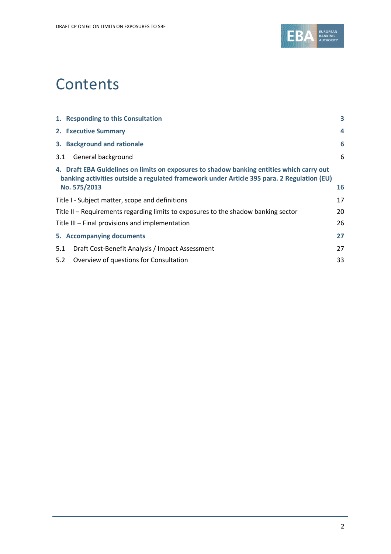

# **Contents**

|     | 1. Responding to this Consultation                                                                                                                                                                      | 3  |
|-----|---------------------------------------------------------------------------------------------------------------------------------------------------------------------------------------------------------|----|
|     | 2. Executive Summary                                                                                                                                                                                    | 4  |
|     | 3. Background and rationale                                                                                                                                                                             | 6  |
| 3.1 | General background                                                                                                                                                                                      | 6  |
|     | 4. Draft EBA Guidelines on limits on exposures to shadow banking entities which carry out<br>banking activities outside a regulated framework under Article 395 para. 2 Regulation (EU)<br>No. 575/2013 | 16 |
|     | Title I - Subject matter, scope and definitions                                                                                                                                                         | 17 |
|     | Title II – Requirements regarding limits to exposures to the shadow banking sector                                                                                                                      | 20 |
|     | Title III - Final provisions and implementation                                                                                                                                                         | 26 |
|     | 5. Accompanying documents                                                                                                                                                                               | 27 |
| 5.1 | Draft Cost-Benefit Analysis / Impact Assessment                                                                                                                                                         | 27 |
| 5.2 | Overview of questions for Consultation                                                                                                                                                                  | 33 |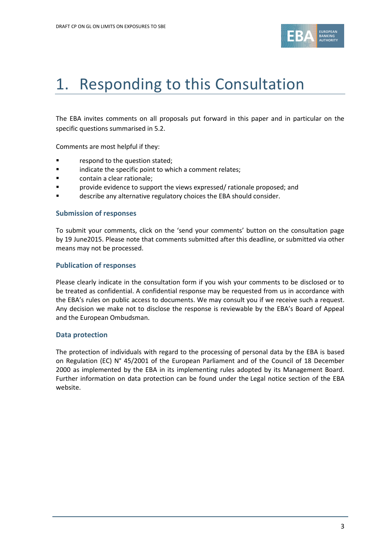

# 1. Responding to this Consultation

The EBA invites comments on all proposals put forward in this paper and in particular on the specific questions summarised in 5.2.

Comments are most helpful if they:

- **Fallengia Exercise 1** respond to the question stated;
- **Example 3** indicate the specific point to which a comment relates;
- contain a clear rationale;
- provide evidence to support the views expressed/ rationale proposed; and
- **Example 2** describe any alternative regulatory choices the EBA should consider.

#### **Submission of responses**

To submit your comments, click on the 'send your comments' button on the consultation page by 19 June2015. Please note that comments submitted after this deadline, or submitted via other means may not be processed.

#### **Publication of responses**

Please clearly indicate in the consultation form if you wish your comments to be disclosed or to be treated as confidential. A confidential response may be requested from us in accordance with the EBA's rules on public access to documents. We may consult you if we receive such a request. Any decision we make not to disclose the response is reviewable by the EBA's Board of Appeal and the European Ombudsman.

### **Data protection**

The protection of individuals with regard to the processing of personal data by the EBA is based on Regulation (EC) N° 45/2001 of the European Parliament and of the Council of 18 December 2000 as implemented by the EBA in its implementing rules adopted by its Management Board. Further information on data protection can be found under the [Legal notice section](http://eba.europa.eu/legal-notice) of the EBA website.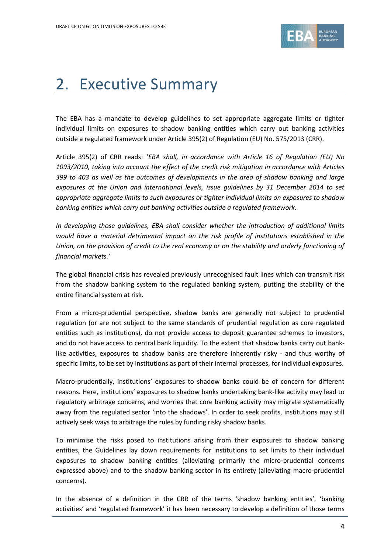

# 2. Executive Summary

The EBA has a mandate to develop guidelines to set appropriate aggregate limits or tighter individual limits on exposures to shadow banking entities which carry out banking activities outside a regulated framework under Article 395(2) of Regulation (EU) No. 575/2013 (CRR).

Article 395(2) of CRR reads: '*EBA shall, in accordance with Article 16 of Regulation (EU) No 1093/2010, taking into account the effect of the credit risk mitigation in accordance with Articles 399 to 403 as well as the outcomes of developments in the area of shadow banking and large exposures at the Union and international levels, issue guidelines by 31 December 2014 to set appropriate aggregate limits to such exposures or tighter individual limits on exposures to shadow banking entities which carry out banking activities outside a regulated framework.*

*In developing those guidelines, EBA shall consider whether the introduction of additional limits would have a material detrimental impact on the risk profile of institutions established in the Union, on the provision of credit to the real economy or on the stability and orderly functioning of financial markets.'*

The global financial crisis has revealed previously unrecognised fault lines which can transmit risk from the shadow banking system to the regulated banking system, putting the stability of the entire financial system at risk.

From a micro-prudential perspective, shadow banks are generally not subject to prudential regulation (or are not subject to the same standards of prudential regulation as core regulated entities such as institutions), do not provide access to deposit guarantee schemes to investors, and do not have access to central bank liquidity. To the extent that shadow banks carry out banklike activities, exposures to shadow banks are therefore inherently risky - and thus worthy of specific limits, to be set by institutions as part of their internal processes, for individual exposures.

Macro-prudentially, institutions' exposures to shadow banks could be of concern for different reasons. Here, institutions' exposures to shadow banks undertaking bank-like activity may lead to regulatory arbitrage concerns, and worries that core banking activity may migrate systematically away from the regulated sector 'into the shadows'. In order to seek profits, institutions may still actively seek ways to arbitrage the rules by funding risky shadow banks.

To minimise the risks posed to institutions arising from their exposures to shadow banking entities, the Guidelines lay down requirements for institutions to set limits to their individual exposures to shadow banking entities (alleviating primarily the micro-prudential concerns expressed above) and to the shadow banking sector in its entirety (alleviating macro-prudential concerns).

In the absence of a definition in the CRR of the terms 'shadow banking entities', 'banking activities' and 'regulated framework' it has been necessary to develop a definition of those terms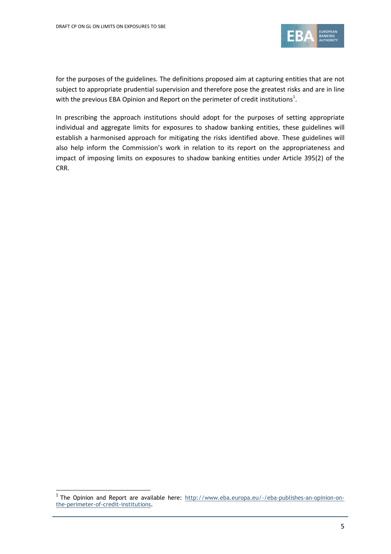

for the purposes of the guidelines. The definitions proposed aim at capturing entities that are not subject to appropriate prudential supervision and therefore pose the greatest risks and are in line with the previous EBA Opinion and Report on the perimeter of credit institutions<sup>1</sup>.

In prescribing the approach institutions should adopt for the purposes of setting appropriate individual and aggregate limits for exposures to shadow banking entities, these guidelines will establish a harmonised approach for mitigating the risks identified above. These guidelines will also help inform the Commission's work in relation to its report on the appropriateness and impact of imposing limits on exposures to shadow banking entities under Article 395(2) of the CRR.

<sup>&</sup>lt;sup>1</sup> The Opinion and Report are available here: [http://www.eba.europa.eu/-/eba-publishes-an-opinion-on](http://www.eba.europa.eu/-/eba-publishes-an-opinion-on-the-perimeter-of-credit-institutions)[the-perimeter-of-credit-institutions.](http://www.eba.europa.eu/-/eba-publishes-an-opinion-on-the-perimeter-of-credit-institutions)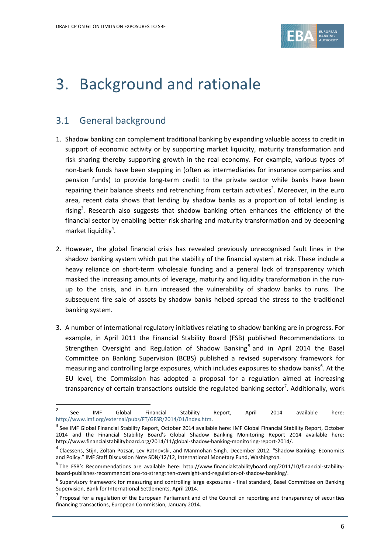

# 3. Background and rationale

## 3.1 General background

- 1. Shadow banking can complement traditional banking by expanding valuable access to credit in support of economic activity or by supporting market liquidity, maturity transformation and risk sharing thereby supporting growth in the real economy. For example, various types of non-bank funds have been stepping in (often as intermediaries for insurance companies and pension funds) to provide long-term credit to the private sector while banks have been repairing their balance sheets and retrenching from certain activities<sup>2</sup>. Moreover, in the euro area, recent data shows that lending by shadow banks as a proportion of total lending is rising<sup>3</sup>. Research also suggests that shadow banking often enhances the efficiency of the financial sector by enabling better risk sharing and maturity transformation and by deepening market liquidity<sup>4</sup>.
- 2. However, the global financial crisis has revealed previously unrecognised fault lines in the shadow banking system which put the stability of the financial system at risk. These include a heavy reliance on short-term wholesale funding and a general lack of transparency which masked the increasing amounts of leverage, maturity and liquidity transformation in the runup to the crisis, and in turn increased the vulnerability of shadow banks to runs. The subsequent fire sale of assets by shadow banks helped spread the stress to the traditional banking system.
- 3. A number of international regulatory initiatives relating to shadow banking are in progress. For example, in April 2011 the Financial Stability Board (FSB) published Recommendations to Strengthen Oversight and Regulation of Shadow Banking<sup>5</sup> and in April 2014 the Basel Committee on Banking Supervision (BCBS) published a revised supervisory framework for measuring and controlling large exposures, which includes exposures to shadow banks<sup>6</sup>. At the EU level, the Commission has adopted a proposal for a regulation aimed at increasing transparency of certain transactions outside the regulated banking sector<sup>7</sup>. Additionally, work

 $\overline{2}$ See IMF Global Financial Stability Report, April 2014 available here: [http://www.imf.org/external/pubs/FT/GFSR/2014/01/index.htm.](http://www.imf.org/external/pubs/FT/GFSR/2014/01/index.htm)

 $^3$  See IMF Global Financial Stability Report, October 2014 available here: IMF Global Financial Stability Report, October 2014 and the Financial Stability Board's Global Shadow Banking Monitoring Report 2014 available here: http://www.financialstabilityboard.org/2014/11/global-shadow-banking-monitoring-report-2014/.

<sup>&</sup>lt;sup>4</sup> Claessens, Stijn, Zoltan Pozsar, Lev Ratnovski, and Manmohan Singh. December 2012. "Shadow Banking: Economics and Policy." IMF Staff Discussion Note SDN/12/12, International Monetary Fund, Washington.

<sup>&</sup>lt;sup>5</sup>The FSB's Recommendations are available here: http://www.financialstabilityboard.org/2011/10/financial-stabilityboard-publishes-recommendations-to-strengthen-oversight-and-regulation-of-shadow-banking/.

<sup>&</sup>lt;sup>6</sup> Supervisory framework for measuring and controlling large exposures - final standard, Basel Committee on Banking Supervision, Bank for International Settlements, April 2014.

<sup>&</sup>lt;sup>7</sup> Proposal for a regulation of the European Parliament and of the Council on reporting and transparency of securities financing transactions, European Commission, January 2014.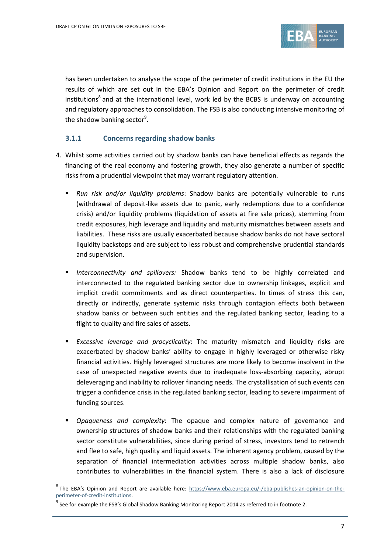

has been undertaken to analyse the scope of the perimeter of credit institutions in the EU the results of which are set out in the EBA's Opinion and Report on the perimeter of credit institutions<sup>8</sup> and at the international level, work led by the BCBS is underway on accounting and regulatory approaches to consolidation. The FSB is also conducting intensive monitoring of the shadow banking sector<sup>9</sup>.

### **3.1.1 Concerns regarding shadow banks**

- 4. Whilst some activities carried out by shadow banks can have beneficial effects as regards the financing of the real economy and fostering growth, they also generate a number of specific risks from a prudential viewpoint that may warrant regulatory attention.
	- *Run risk and/or liquidity problems*: Shadow banks are potentially vulnerable to runs (withdrawal of deposit-like assets due to panic, early redemptions due to a confidence crisis) and/or liquidity problems (liquidation of assets at fire sale prices), stemming from credit exposures, high leverage and liquidity and maturity mismatches between assets and liabilities. These risks are usually exacerbated because shadow banks do not have sectoral liquidity backstops and are subject to less robust and comprehensive prudential standards and supervision.
	- *Interconnectivity and spillovers:* Shadow banks tend to be highly correlated and interconnected to the regulated banking sector due to ownership linkages, explicit and implicit credit commitments and as direct counterparties. In times of stress this can, directly or indirectly, generate systemic risks through contagion effects both between shadow banks or between such entities and the regulated banking sector, leading to a flight to quality and fire sales of assets.
	- *Excessive leverage and procyclicality*: The maturity mismatch and liquidity risks are exacerbated by shadow banks' ability to engage in highly leveraged or otherwise risky financial activities. Highly leveraged structures are more likely to become insolvent in the case of unexpected negative events due to inadequate loss-absorbing capacity, abrupt deleveraging and inability to rollover financing needs. The crystallisation of such events can trigger a confidence crisis in the regulated banking sector, leading to severe impairment of funding sources.
	- *Opaqueness and complexity*: The opaque and complex nature of governance and ownership structures of shadow banks and their relationships with the regulated banking sector constitute vulnerabilities, since during period of stress, investors tend to retrench and flee to safe, high quality and liquid assets. The inherent agency problem, caused by the separation of financial intermediation activities across multiple shadow banks, also contributes to vulnerabilities in the financial system. There is also a lack of disclosure

<sup>&</sup>lt;sup>8</sup> The EBA's Opinion and Report are available here: [https://www.eba.europa.eu/-/eba-publishes-an-opinion-on-the](https://www.eba.europa.eu/-/eba-publishes-an-opinion-on-the-perimeter-of-credit-institutions)[perimeter-of-credit-institutions.](https://www.eba.europa.eu/-/eba-publishes-an-opinion-on-the-perimeter-of-credit-institutions)

 $^9$  See for example the FSB's Global Shadow Banking Monitoring Report 2014 as referred to in footnote 2.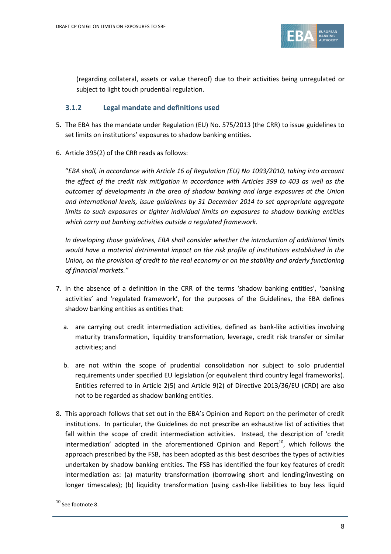

(regarding collateral, assets or value thereof) due to their activities being unregulated or subject to light touch prudential regulation.

## **3.1.2 Legal mandate and definitions used**

- 5. The EBA has the mandate under Regulation (EU) No. 575/2013 (the CRR) to issue guidelines to set limits on institutions' exposures to shadow banking entities.
- 6. Article 395(2) of the CRR reads as follows:

"*EBA shall, in accordance with Article 16 of Regulation (EU) No 1093/2010, taking into account the effect of the credit risk mitigation in accordance with Articles 399 to 403 as well as the outcomes of developments in the area of shadow banking and large exposures at the Union and international levels, issue guidelines by 31 December 2014 to set appropriate aggregate limits to such exposures or tighter individual limits on exposures to shadow banking entities which carry out banking activities outside a regulated framework.* 

*In developing those guidelines, EBA shall consider whether the introduction of additional limits would have a material detrimental impact on the risk profile of institutions established in the Union, on the provision of credit to the real economy or on the stability and orderly functioning of financial markets."*

- 7. In the absence of a definition in the CRR of the terms 'shadow banking entities', 'banking activities' and 'regulated framework', for the purposes of the Guidelines, the EBA defines shadow banking entities as entities that:
	- a. are carrying out credit intermediation activities, defined as bank-like activities involving maturity transformation, liquidity transformation, leverage, credit risk transfer or similar activities; and
	- b. are not within the scope of prudential consolidation nor subject to solo prudential requirements under specified EU legislation (or equivalent third country legal frameworks). Entities referred to in Article 2(5) and Article 9(2) of Directive 2013/36/EU (CRD) are also not to be regarded as shadow banking entities.
- 8. This approach follows that set out in the EBA's Opinion and Report on the perimeter of credit institutions. In particular, the Guidelines do not prescribe an exhaustive list of activities that fall within the scope of credit intermediation activities. Instead, the description of 'credit intermediation' adopted in the aforementioned Opinion and Report<sup>10</sup>, which follows the approach prescribed by the FSB, has been adopted as this best describes the types of activities undertaken by shadow banking entities. The FSB has identified the four key features of credit intermediation as: (a) maturity transformation (borrowing short and lending/investing on longer timescales); (b) liquidity transformation (using cash-like liabilities to buy less liquid

.

<sup>10</sup> See footnote 8.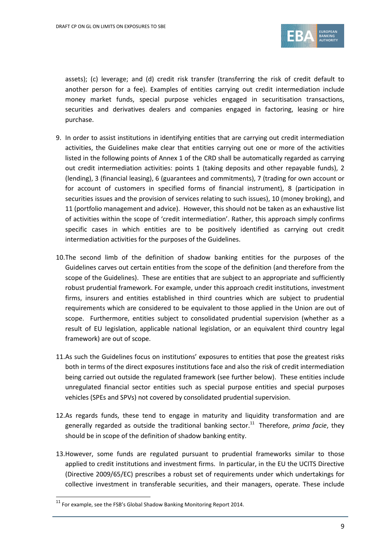

assets); (c) leverage; and (d) credit risk transfer (transferring the risk of credit default to another person for a fee). Examples of entities carrying out credit intermediation include money market funds, special purpose vehicles engaged in securitisation transactions, securities and derivatives dealers and companies engaged in factoring, leasing or hire purchase.

- 9. In order to assist institutions in identifying entities that are carrying out credit intermediation activities, the Guidelines make clear that entities carrying out one or more of the activities listed in the following points of Annex 1 of the CRD shall be automatically regarded as carrying out credit intermediation activities: points 1 (taking deposits and other repayable funds), 2 (lending), 3 (financial leasing), 6 (guarantees and commitments), 7 (trading for own account or for account of customers in specified forms of financial instrument), 8 (participation in securities issues and the provision of services relating to such issues), 10 (money broking), and 11 (portfolio management and advice). However, this should not be taken as an exhaustive list of activities within the scope of 'credit intermediation'. Rather, this approach simply confirms specific cases in which entities are to be positively identified as carrying out credit intermediation activities for the purposes of the Guidelines.
- 10.The second limb of the definition of shadow banking entities for the purposes of the Guidelines carves out certain entities from the scope of the definition (and therefore from the scope of the Guidelines). These are entities that are subject to an appropriate and sufficiently robust prudential framework. For example, under this approach credit institutions, investment firms, insurers and entities established in third countries which are subject to prudential requirements which are considered to be equivalent to those applied in the Union are out of scope. Furthermore, entities subject to consolidated prudential supervision (whether as a result of EU legislation, applicable national legislation, or an equivalent third country legal framework) are out of scope.
- 11.As such the Guidelines focus on institutions' exposures to entities that pose the greatest risks both in terms of the direct exposures institutions face and also the risk of credit intermediation being carried out outside the regulated framework (see further below). These entities include unregulated financial sector entities such as special purpose entities and special purposes vehicles (SPEs and SPVs) not covered by consolidated prudential supervision.
- 12.As regards funds, these tend to engage in maturity and liquidity transformation and are generally regarded as outside the traditional banking sector.<sup>11</sup> Therefore, *prima facie*, they should be in scope of the definition of shadow banking entity.
- 13.However, some funds are regulated pursuant to prudential frameworks similar to those applied to credit institutions and investment firms. In particular, in the EU the UCITS Directive (Directive 2009/65/EC) prescribes a robust set of requirements under which undertakings for collective investment in transferable securities, and their managers, operate. These include

.

 $11$  For example, see the FSB's Global Shadow Banking Monitoring Report 2014.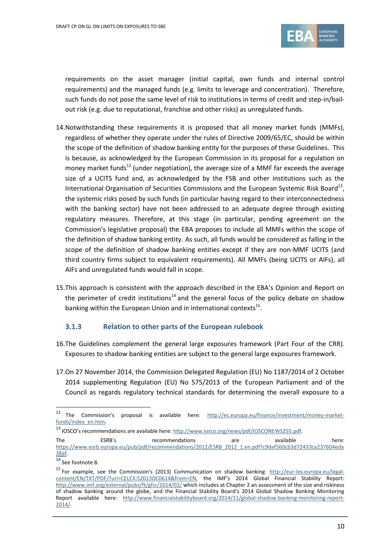

requirements on the asset manager (initial capital, own funds and internal control requirements) and the managed funds (e.g. limits to leverage and concentration). Therefore, such funds do not pose the same level of risk to institutions in terms of credit and step-in/bailout risk (e.g. due to reputational, franchise and other risks) as unregulated funds.

- 14.Notwithstanding these requirements it is proposed that all money market funds (MMFs), regardless of whether they operate under the rules of Directive 2009/65/EC, should be within the scope of the definition of shadow banking entity for the purposes of these Guidelines. This is because, as acknowledged by the European Commission in its proposal for a regulation on money market funds<sup>12</sup> (under negotiation), the average size of a MMF far exceeds the average size of a UCITS fund and, as acknowledged by the FSB and other institutions such as the International Organisation of Securities Commissions and the European Systemic Risk Board<sup>13</sup>, the systemic risks posed by such funds (in particular having regard to their interconnectedness with the banking sector) have not been addressed to an adequate degree through existing regulatory measures. Therefore, at this stage (in particular, pending agreement on the Commission's legislative proposal) the EBA proposes to include all MMFs within the scope of the definition of shadow banking entity. As such, all funds would be considered as falling in the scope of the definition of shadow banking entities except if they are non-MMF UCITS (and third country firms subject to equivalent requirements). All MMFs (being UCITS or AIFs), all AIFs and unregulated funds would fall in scope.
- 15.This approach is consistent with the approach described in the EBA's Opinion and Report on the perimeter of credit institutions<sup>14</sup> and the general focus of the policy debate on shadow banking within the European Union and in international contexts<sup>15</sup>.

### **3.1.3 Relation to other parts of the European rulebook**

- 16.The Guidelines complement the general large exposures framework (Part Four of the CRR). Exposures to shadow banking entities are subject to the general large exposures framework.
- 17.On 27 November 2014, the Commission Delegated Regulation (EU) No 1187/2014 of 2 October 2014 supplementing Regulation (EU) No 575/2013 of the European Parliament and of the Council as regards regulatory technical standards for determining the overall exposure to a

<sup>12</sup> The Commission's proposal is available here: [http://ec.europa.eu/finance/investment/money-market](http://ec.europa.eu/finance/investment/money-market-funds/index_en.htm)[funds/index\\_en.htm.](http://ec.europa.eu/finance/investment/money-market-funds/index_en.htm)

<sup>13</sup> IOSCO's recommendations are available here: [http://www.iosco.org/news/pdf/IOSCONEWS255.pdf.](http://www.iosco.org/news/pdf/IOSCONEWS255.pdf)

The ESRB's recommendations are available here: [https://www.esrb.europa.eu/pub/pdf/recommendations/2012/ESRB\\_2012\\_1.en.pdf?c9daf560cb3d72433ca237604eda](https://www.esrb.europa.eu/pub/pdf/recommendations/2012/ESRB_2012_1.en.pdf?c9daf560cb3d72433ca237604eda38af) [38af.](https://www.esrb.europa.eu/pub/pdf/recommendations/2012/ESRB_2012_1.en.pdf?c9daf560cb3d72433ca237604eda38af)

<sup>&</sup>lt;sup>14</sup> See footnote 8.

<sup>&</sup>lt;sup>15</sup> For example, see the Commission's (2013) Communication on shadow banking: [http://eur-lex.europa.eu/legal](http://eur-lex.europa.eu/legal-content/EN/TXT/PDF/?uri=CELEX:52013DC0614&from=EN)[content/EN/TXT/PDF/?uri=CELEX:52013DC0614&from=EN](http://eur-lex.europa.eu/legal-content/EN/TXT/PDF/?uri=CELEX:52013DC0614&from=EN), the IMF's 2014 Global Financial Stability Report: <http://www.imf.org/external/pubs/ft/gfsr/2014/02/> which includes at Chapter 2 an assessment of the size and riskiness of shadow banking around the globe, and the Financial Stability Board's 2014 Global Shadow Banking Monitoring Report available here: [http://www.financialstabilityboard.org/2014/11/global-shadow-banking-monitoring-report-](http://www.financialstabilityboard.org/2014/11/global-shadow-banking-monitoring-report-2014/)[2014/.](http://www.financialstabilityboard.org/2014/11/global-shadow-banking-monitoring-report-2014/)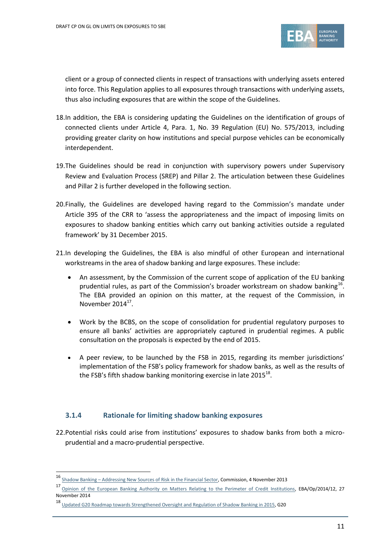

client or a group of connected clients in respect of transactions with underlying assets entered into force. This Regulation applies to all exposures through transactions with underlying assets, thus also including exposures that are within the scope of the Guidelines.

- 18.In addition, the EBA is considering updating the Guidelines on the identification of groups of connected clients under Article 4, Para. 1, No. 39 Regulation (EU) No. 575/2013, including providing greater clarity on how institutions and special purpose vehicles can be economically interdependent.
- 19.The Guidelines should be read in conjunction with supervisory powers under Supervisory Review and Evaluation Process (SREP) and Pillar 2. The articulation between these Guidelines and Pillar 2 is further developed in the following section.
- 20.Finally, the Guidelines are developed having regard to the Commission's mandate under Article 395 of the CRR to 'assess the appropriateness and the impact of imposing limits on exposures to shadow banking entities which carry out banking activities outside a regulated framework' by 31 December 2015.
- 21.In developing the Guidelines, the EBA is also mindful of other European and international workstreams in the area of shadow banking and large exposures. These include:
	- An assessment, by the Commission of the current scope of application of the EU banking prudential rules, as part of the Commission's broader workstream on shadow banking $^{16}$ . The EBA provided an opinion on this matter, at the request of the Commission, in November  $2014^{17}$ .
	- Work by the BCBS, on the scope of consolidation for prudential regulatory purposes to ensure all banks' activities are appropriately captured in prudential regimes. A public consultation on the proposals is expected by the end of 2015.
	- A peer review, to be launched by the FSB in 2015, regarding its member jurisdictions' implementation of the FSB's policy framework for shadow banks, as well as the results of the FSB's fifth shadow banking monitoring exercise in late 2015 $^{18}$ .

### **3.1.4 Rationale for limiting shadow banking exposures**

22.Potential risks could arise from institutions' exposures to shadow banks from both a microprudential and a macro-prudential perspective.

<sup>-&</sup>lt;br><sup>16</sup> <u>Shadow Banking – Addressing New Sources of Risk in the Financial Sector</u>, Commission, 4 November 2013

<sup>17</sup> [Opinion of the European Banking Authority on Matters Relating to the Perimeter of Credit Institutions,](https://www.eba.europa.eu/documents/10180/657547/EBA-Op-2014-12+(Opinion+on+perimeter+of+credit+institution).pdf) EBA/Op/2014/12, 27 November 2014

<sup>18</sup> [Updated G20 Roadmap towards Strengthened Oversight and Regulation of Shadow Banking in 2015,](https://www.google.co.uk/url?sa=t&rct=j&q=&esrc=s&frm=1&source=web&cd=1&cad=rja&uact=8&ved=0CCMQFjAA&url=https%3A%2F%2Fwww.g20.org%2Fsites%2Fdefault%2Ffiles%2Fg20_resources%2Flibrary%2Fupdated_g20_roadmap_strengthened_oversight_regulation_2015.pdf&ei=i5-BVIiQN8vKOcekgMgF&usg=AFQjCNHKPRebU9r0AUu69v09LD6tlxxiqQ&bvm=bv.80642063,d.ZWU) G20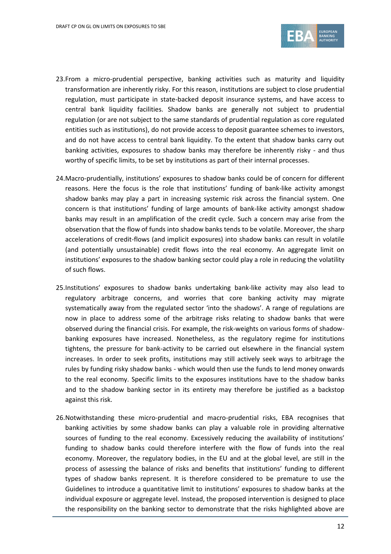

- 23.From a micro-prudential perspective, banking activities such as maturity and liquidity transformation are inherently risky. For this reason, institutions are subject to close prudential regulation, must participate in state-backed deposit insurance systems, and have access to central bank liquidity facilities. Shadow banks are generally not subject to prudential regulation (or are not subject to the same standards of prudential regulation as core regulated entities such as institutions), do not provide access to deposit guarantee schemes to investors, and do not have access to central bank liquidity. To the extent that shadow banks carry out banking activities, exposures to shadow banks may therefore be inherently risky - and thus worthy of specific limits, to be set by institutions as part of their internal processes.
- 24.Macro-prudentially, institutions' exposures to shadow banks could be of concern for different reasons. Here the focus is the role that institutions' funding of bank-like activity amongst shadow banks may play a part in increasing systemic risk across the financial system. One concern is that institutions' funding of large amounts of bank-like activity amongst shadow banks may result in an amplification of the credit cycle. Such a concern may arise from the observation that the flow of funds into shadow banks tends to be volatile. Moreover, the sharp accelerations of credit-flows (and implicit exposures) into shadow banks can result in volatile (and potentially unsustainable) credit flows into the real economy. An aggregate limit on institutions' exposures to the shadow banking sector could play a role in reducing the volatility of such flows.
- 25.Institutions' exposures to shadow banks undertaking bank-like activity may also lead to regulatory arbitrage concerns, and worries that core banking activity may migrate systematically away from the regulated sector 'into the shadows'. A range of regulations are now in place to address some of the arbitrage risks relating to shadow banks that were observed during the financial crisis. For example, the risk-weights on various forms of shadowbanking exposures have increased. Nonetheless, as the regulatory regime for institutions tightens, the pressure for bank-activity to be carried out elsewhere in the financial system increases. In order to seek profits, institutions may still actively seek ways to arbitrage the rules by funding risky shadow banks - which would then use the funds to lend money onwards to the real economy. Specific limits to the exposures institutions have to the shadow banks and to the shadow banking sector in its entirety may therefore be justified as a backstop against this risk.
- 26.Notwithstanding these micro-prudential and macro-prudential risks, EBA recognises that banking activities by some shadow banks can play a valuable role in providing alternative sources of funding to the real economy. Excessively reducing the availability of institutions' funding to shadow banks could therefore interfere with the flow of funds into the real economy. Moreover, the regulatory bodies, in the EU and at the global level, are still in the process of assessing the balance of risks and benefits that institutions' funding to different types of shadow banks represent. It is therefore considered to be premature to use the Guidelines to introduce a quantitative limit to institutions' exposures to shadow banks at the individual exposure or aggregate level. Instead, the proposed intervention is designed to place the responsibility on the banking sector to demonstrate that the risks highlighted above are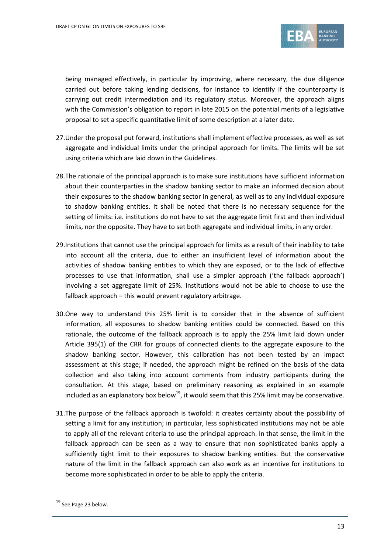

being managed effectively, in particular by improving, where necessary, the due diligence carried out before taking lending decisions, for instance to identify if the counterparty is carrying out credit intermediation and its regulatory status. Moreover, the approach aligns with the Commission's obligation to report in late 2015 on the potential merits of a legislative proposal to set a specific quantitative limit of some description at a later date.

- 27.Under the proposal put forward, institutions shall implement effective processes, as well as set aggregate and individual limits under the principal approach for limits. The limits will be set using criteria which are laid down in the Guidelines.
- 28.The rationale of the principal approach is to make sure institutions have sufficient information about their counterparties in the shadow banking sector to make an informed decision about their exposures to the shadow banking sector in general, as well as to any individual exposure to shadow banking entities. It shall be noted that there is no necessary sequence for the setting of limits: i.e. institutions do not have to set the aggregate limit first and then individual limits, nor the opposite. They have to set both aggregate and individual limits, in any order.
- 29.Institutions that cannot use the principal approach for limits as a result of their inability to take into account all the criteria, due to either an insufficient level of information about the activities of shadow banking entities to which they are exposed, or to the lack of effective processes to use that information, shall use a simpler approach ('the fallback approach') involving a set aggregate limit of 25%. Institutions would not be able to choose to use the fallback approach – this would prevent regulatory arbitrage.
- 30.One way to understand this 25% limit is to consider that in the absence of sufficient information, all exposures to shadow banking entities could be connected. Based on this rationale, the outcome of the fallback approach is to apply the 25% limit laid down under Article 395(1) of the CRR for groups of connected clients to the aggregate exposure to the shadow banking sector. However, this calibration has not been tested by an impact assessment at this stage; if needed, the approach might be refined on the basis of the data collection and also taking into account comments from industry participants during the consultation. At this stage, based on preliminary reasoning as explained in an example included as an explanatory box below<sup>19</sup>, it would seem that this 25% limit may be conservative.
- 31.The purpose of the fallback approach is twofold: it creates certainty about the possibility of setting a limit for any institution; in particular, less sophisticated institutions may not be able to apply all of the relevant criteria to use the principal approach. In that sense, the limit in the fallback approach can be seen as a way to ensure that non sophisticated banks apply a sufficiently tight limit to their exposures to shadow banking entities. But the conservative nature of the limit in the fallback approach can also work as an incentive for institutions to become more sophisticated in order to be able to apply the criteria.

.

<sup>&</sup>lt;sup>19</sup> See Page 23 below.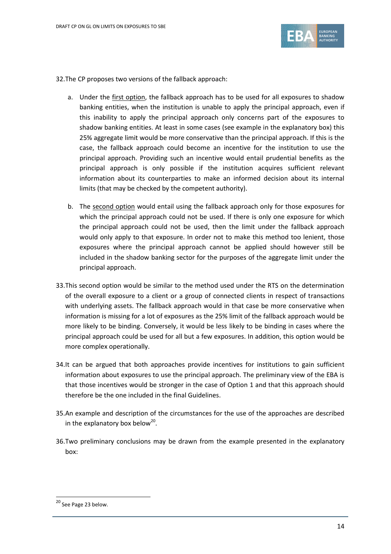

32.The CP proposes two versions of the fallback approach:

- a. Under the *first option*, the fallback approach has to be used for all exposures to shadow banking entities, when the institution is unable to apply the principal approach, even if this inability to apply the principal approach only concerns part of the exposures to shadow banking entities. At least in some cases (see example in the explanatory box) this 25% aggregate limit would be more conservative than the principal approach. If this is the case, the fallback approach could become an incentive for the institution to use the principal approach. Providing such an incentive would entail prudential benefits as the principal approach is only possible if the institution acquires sufficient relevant information about its counterparties to make an informed decision about its internal limits (that may be checked by the competent authority).
- b. The second option would entail using the fallback approach only for those exposures for which the principal approach could not be used. If there is only one exposure for which the principal approach could not be used, then the limit under the fallback approach would only apply to that exposure. In order not to make this method too lenient, those exposures where the principal approach cannot be applied should however still be included in the shadow banking sector for the purposes of the aggregate limit under the principal approach.
- 33.This second option would be similar to the method used under the RTS on the determination of the overall exposure to a client or a group of connected clients in respect of transactions with underlying assets. The fallback approach would in that case be more conservative when information is missing for a lot of exposures as the 25% limit of the fallback approach would be more likely to be binding. Conversely, it would be less likely to be binding in cases where the principal approach could be used for all but a few exposures. In addition, this option would be more complex operationally.
- 34.It can be argued that both approaches provide incentives for institutions to gain sufficient information about exposures to use the principal approach. The preliminary view of the EBA is that those incentives would be stronger in the case of Option 1 and that this approach should therefore be the one included in the final Guidelines.
- 35.An example and description of the circumstances for the use of the approaches are described in the explanatory box below<sup>20</sup>.
- 36.Two preliminary conclusions may be drawn from the example presented in the explanatory box:

.

<sup>&</sup>lt;sup>20</sup> See Page 23 below.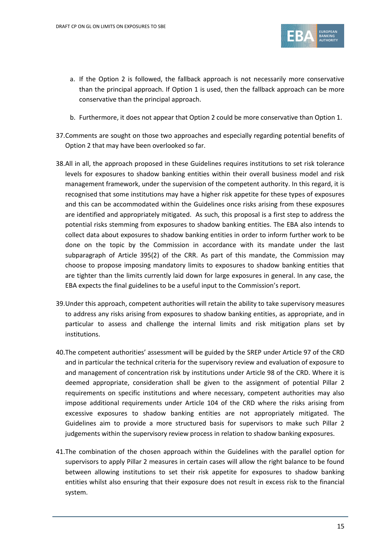

- a. If the Option 2 is followed, the fallback approach is not necessarily more conservative than the principal approach. If Option 1 is used, then the fallback approach can be more conservative than the principal approach.
- b. Furthermore, it does not appear that Option 2 could be more conservative than Option 1.
- 37.Comments are sought on those two approaches and especially regarding potential benefits of Option 2 that may have been overlooked so far.
- 38.All in all, the approach proposed in these Guidelines requires institutions to set risk tolerance levels for exposures to shadow banking entities within their overall business model and risk management framework, under the supervision of the competent authority. In this regard, it is recognised that some institutions may have a higher risk appetite for these types of exposures and this can be accommodated within the Guidelines once risks arising from these exposures are identified and appropriately mitigated. As such, this proposal is a first step to address the potential risks stemming from exposures to shadow banking entities. The EBA also intends to collect data about exposures to shadow banking entities in order to inform further work to be done on the topic by the Commission in accordance with its mandate under the last subparagraph of Article 395(2) of the CRR. As part of this mandate, the Commission may choose to propose imposing mandatory limits to exposures to shadow banking entities that are tighter than the limits currently laid down for large exposures in general. In any case, the EBA expects the final guidelines to be a useful input to the Commission's report.
- 39.Under this approach, competent authorities will retain the ability to take supervisory measures to address any risks arising from exposures to shadow banking entities, as appropriate, and in particular to assess and challenge the internal limits and risk mitigation plans set by institutions.
- 40.The competent authorities' assessment will be guided by the SREP under Article 97 of the CRD and in particular the technical criteria for the supervisory review and evaluation of exposure to and management of concentration risk by institutions under Article 98 of the CRD. Where it is deemed appropriate, consideration shall be given to the assignment of potential Pillar 2 requirements on specific institutions and where necessary, competent authorities may also impose additional requirements under Article 104 of the CRD where the risks arising from excessive exposures to shadow banking entities are not appropriately mitigated. The Guidelines aim to provide a more structured basis for supervisors to make such Pillar 2 judgements within the supervisory review process in relation to shadow banking exposures.
- 41.The combination of the chosen approach within the Guidelines with the parallel option for supervisors to apply Pillar 2 measures in certain cases will allow the right balance to be found between allowing institutions to set their risk appetite for exposures to shadow banking entities whilst also ensuring that their exposure does not result in excess risk to the financial system.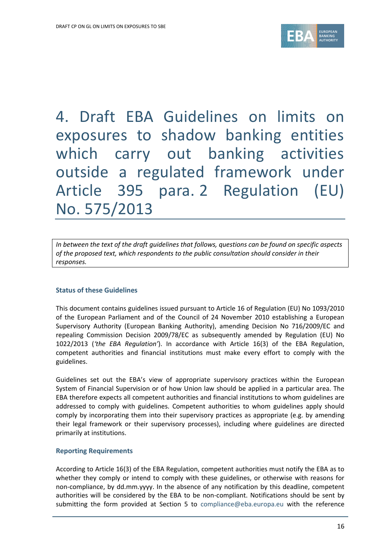

4. Draft EBA Guidelines on limits on exposures to shadow banking entities which carry out banking activities outside a regulated framework under Article 395 para. 2 Regulation (EU) No. 575/2013

*In between the text of the draft guidelines that follows, questions can be found on specific aspects of the proposed text, which respondents to the public consultation should consider in their responses.* 

### **Status of these Guidelines**

This document contains guidelines issued pursuant to Article 16 of Regulation (EU) No 1093/2010 of the European Parliament and of the Council of 24 November 2010 establishing a European Supervisory Authority (European Banking Authority), amending Decision No 716/2009/EC and repealing Commission Decision 2009/78/EC as subsequently amended by Regulation (EU) No 1022/2013 (*'the EBA Regulation'*). In accordance with Article 16(3) of the EBA Regulation, competent authorities and financial institutions must make every effort to comply with the guidelines.

Guidelines set out the EBA's view of appropriate supervisory practices within the European System of Financial Supervision or of how Union law should be applied in a particular area. The EBA therefore expects all competent authorities and financial institutions to whom guidelines are addressed to comply with guidelines. Competent authorities to whom guidelines apply should comply by incorporating them into their supervisory practices as appropriate (e.g. by amending their legal framework or their supervisory processes), including where guidelines are directed primarily at institutions.

### **Reporting Requirements**

According to Article 16(3) of the EBA Regulation, competent authorities must notify the EBA as to whether they comply or intend to comply with these guidelines, or otherwise with reasons for non-compliance, by dd.mm.yyyy. In the absence of any notification by this deadline, competent authorities will be considered by the EBA to be non-compliant. Notifications should be sent by submitting the form provided at Section 5 to compliance@eba.europa.eu with the reference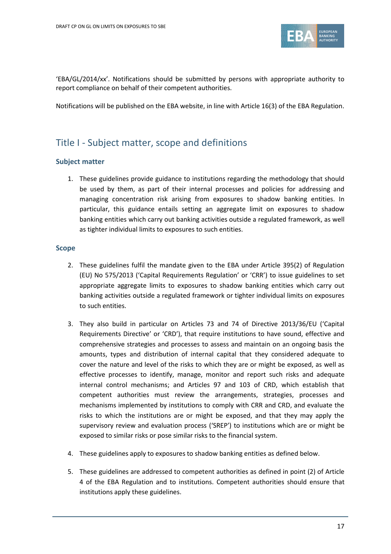

'EBA/GL/2014/xx'. Notifications should be submitted by persons with appropriate authority to report compliance on behalf of their competent authorities.

Notifications will be published on the EBA website, in line with Article 16(3) of the EBA Regulation.

## Title I - Subject matter, scope and definitions

### **Subject matter**

1. These guidelines provide guidance to institutions regarding the methodology that should be used by them, as part of their internal processes and policies for addressing and managing concentration risk arising from exposures to shadow banking entities. In particular, this guidance entails setting an aggregate limit on exposures to shadow banking entities which carry out banking activities outside a regulated framework, as well as tighter individual limits to exposures to such entities.

### **Scope**

- 2. These guidelines fulfil the mandate given to the EBA under Article 395(2) of Regulation (EU) No 575/2013 ('Capital Requirements Regulation' or 'CRR') to issue guidelines to set appropriate aggregate limits to exposures to shadow banking entities which carry out banking activities outside a regulated framework or tighter individual limits on exposures to such entities.
- 3. They also build in particular on Articles 73 and 74 of Directive 2013/36/EU ('Capital Requirements Directive' or 'CRD'), that require institutions to have sound, effective and comprehensive strategies and processes to assess and maintain on an ongoing basis the amounts, types and distribution of internal capital that they considered adequate to cover the nature and level of the risks to which they are or might be exposed, as well as effective processes to identify, manage, monitor and report such risks and adequate internal control mechanisms; and Articles 97 and 103 of CRD, which establish that competent authorities must review the arrangements, strategies, processes and mechanisms implemented by institutions to comply with CRR and CRD, and evaluate the risks to which the institutions are or might be exposed, and that they may apply the supervisory review and evaluation process ('SREP') to institutions which are or might be exposed to similar risks or pose similar risks to the financial system.
- 4. These guidelines apply to exposures to shadow banking entities as defined below.
- 5. These guidelines are addressed to competent authorities as defined in point (2) of Article 4 of the EBA Regulation and to institutions. Competent authorities should ensure that institutions apply these guidelines.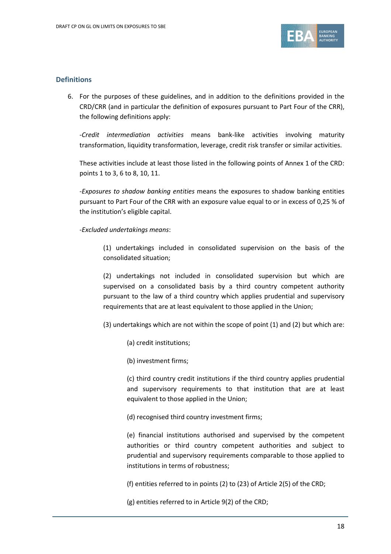

### **Definitions**

6. For the purposes of these guidelines, and in addition to the definitions provided in the CRD/CRR (and in particular the definition of exposures pursuant to Part Four of the CRR), the following definitions apply:

-*Credit intermediation activities* means bank-like activities involving maturity transformation, liquidity transformation, leverage, credit risk transfer or similar activities.

These activities include at least those listed in the following points of Annex 1 of the CRD: points 1 to 3, 6 to 8, 10, 11.

-*Exposures to shadow banking entities* means the exposures to shadow banking entities pursuant to Part Four of the CRR with an exposure value equal to or in excess of 0,25 % of the institution's eligible capital.

### -*Excluded undertakings means*:

(1) undertakings included in consolidated supervision on the basis of the consolidated situation;

(2) undertakings not included in consolidated supervision but which are supervised on a consolidated basis by a third country competent authority pursuant to the law of a third country which applies prudential and supervisory requirements that are at least equivalent to those applied in the Union;

(3) undertakings which are not within the scope of point (1) and (2) but which are:

- (a) credit institutions;
- (b) investment firms;

(c) third country credit institutions if the third country applies prudential and supervisory requirements to that institution that are at least equivalent to those applied in the Union;

(d) recognised third country investment firms;

(e) financial institutions authorised and supervised by the competent authorities or third country competent authorities and subject to prudential and supervisory requirements comparable to those applied to institutions in terms of robustness;

(f) entities referred to in points (2) to (23) of Article 2(5) of the CRD;

(g) entities referred to in Article 9(2) of the CRD;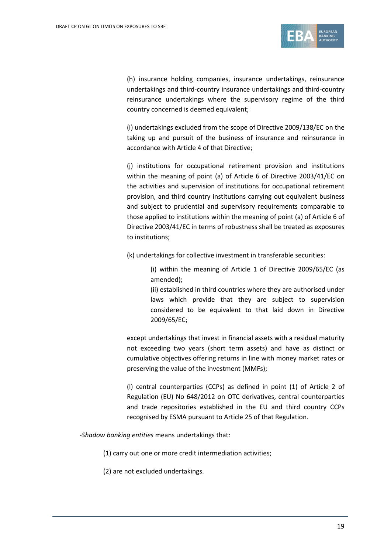

(h) insurance holding companies, insurance undertakings, reinsurance undertakings and third-country insurance undertakings and third-country reinsurance undertakings where the supervisory regime of the third country concerned is deemed equivalent;

(i) undertakings excluded from the scope of Directive 2009/138/EC on the taking up and pursuit of the business of insurance and reinsurance in accordance with Article 4 of that Directive;

(j) institutions for occupational retirement provision and institutions within the meaning of point (a) of Article 6 of Directive 2003/41/EC on the activities and supervision of institutions for occupational retirement provision, and third country institutions carrying out equivalent business and subject to prudential and supervisory requirements comparable to those applied to institutions within the meaning of point (a) of Article 6 of Directive 2003/41/EC in terms of robustness shall be treated as exposures to institutions;

(k) undertakings for collective investment in transferable securities:

(i) within the meaning of Article 1 of Directive 2009/65/EC (as amended);

(ii) established in third countries where they are authorised under laws which provide that they are subject to supervision considered to be equivalent to that laid down in Directive 2009/65/EC;

except undertakings that invest in financial assets with a residual maturity not exceeding two years (short term assets) and have as distinct or cumulative objectives offering returns in line with money market rates or preserving the value of the investment (MMFs);

(l) central counterparties (CCPs) as defined in point (1) of Article 2 of Regulation (EU) No 648/2012 on OTC derivatives, central counterparties and trade repositories established in the EU and third country CCPs recognised by ESMA pursuant to Article 25 of that Regulation.

-*Shadow banking entities* means undertakings that:

(1) carry out one or more credit intermediation activities;

(2) are not excluded undertakings.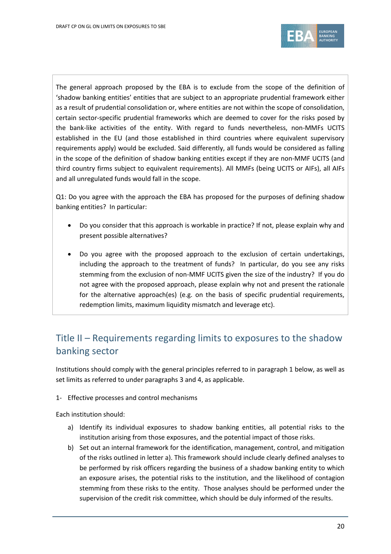

The general approach proposed by the EBA is to exclude from the scope of the definition of 'shadow banking entities' entities that are subject to an appropriate prudential framework either as a result of prudential consolidation or, where entities are not within the scope of consolidation, certain sector-specific prudential frameworks which are deemed to cover for the risks posed by the bank-like activities of the entity. With regard to funds nevertheless, non-MMFs UCITS established in the EU (and those established in third countries where equivalent supervisory requirements apply) would be excluded. Said differently, all funds would be considered as falling in the scope of the definition of shadow banking entities except if they are non-MMF UCITS (and third country firms subject to equivalent requirements). All MMFs (being UCITS or AIFs), all AIFs and all unregulated funds would fall in the scope.

Q1: Do you agree with the approach the EBA has proposed for the purposes of defining shadow banking entities? In particular:

- Do you consider that this approach is workable in practice? If not, please explain why and present possible alternatives?
- Do you agree with the proposed approach to the exclusion of certain undertakings, including the approach to the treatment of funds? In particular, do you see any risks stemming from the exclusion of non-MMF UCITS given the size of the industry? If you do not agree with the proposed approach, please explain why not and present the rationale for the alternative approach(es) (e.g. on the basis of specific prudential requirements, redemption limits, maximum liquidity mismatch and leverage etc).

# Title II – Requirements regarding limits to exposures to the shadow banking sector

Institutions should comply with the general principles referred to in paragraph 1 below, as well as set limits as referred to under paragraphs 3 and 4, as applicable.

1- Effective processes and control mechanisms

Each institution should:

- a) Identify its individual exposures to shadow banking entities, all potential risks to the institution arising from those exposures, and the potential impact of those risks.
- b) Set out an internal framework for the identification, management, control, and mitigation of the risks outlined in letter a). This framework should include clearly defined analyses to be performed by risk officers regarding the business of a shadow banking entity to which an exposure arises, the potential risks to the institution, and the likelihood of contagion stemming from these risks to the entity. Those analyses should be performed under the supervision of the credit risk committee, which should be duly informed of the results.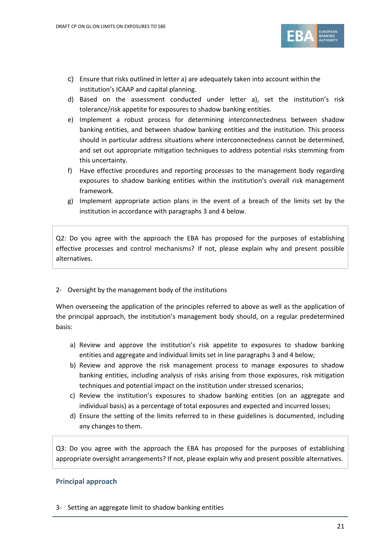

- c) Ensure that risks outlined in letter a) are adequately taken into account within the institution's ICAAP and capital planning.
- d) Based on the assessment conducted under letter a), set the institution's risk tolerance/risk appetite for exposures to shadow banking entities.
- e) Implement a robust process for determining interconnectedness between shadow banking entities, and between shadow banking entities and the institution. This process should in particular address situations where interconnectedness cannot be determined, and set out appropriate mitigation techniques to address potential risks stemming from this uncertainty.
- f) Have effective procedures and reporting processes to the management body regarding exposures to shadow banking entities within the institution's overall risk management framework.
- g) Implement appropriate action plans in the event of a breach of the limits set by the institution in accordance with paragraphs 3 and 4 below.

Q2: Do you agree with the approach the EBA has proposed for the purposes of establishing effective processes and control mechanisms? If not, please explain why and present possible alternatives.

### 2- Oversight by the management body of the institutions

When overseeing the application of the principles referred to above as well as the application of the principal approach, the institution's management body should, on a regular predetermined basis:

- a) Review and approve the institution's risk appetite to exposures to shadow banking entities and aggregate and individual limits set in line paragraphs 3 and 4 below;
- b) Review and approve the risk management process to manage exposures to shadow banking entities, including analysis of risks arising from those exposures, risk mitigation techniques and potential impact on the institution under stressed scenarios;
- c) Review the institution's exposures to shadow banking entities (on an aggregate and individual basis) as a percentage of total exposures and expected and incurred losses;
- d) Ensure the setting of the limits referred to in these guidelines is documented, including any changes to them.

Q3: Do you agree with the approach the EBA has proposed for the purposes of establishing appropriate oversight arrangements? If not, please explain why and present possible alternatives.

## **Principal approach**

3- Setting an aggregate limit to shadow banking entities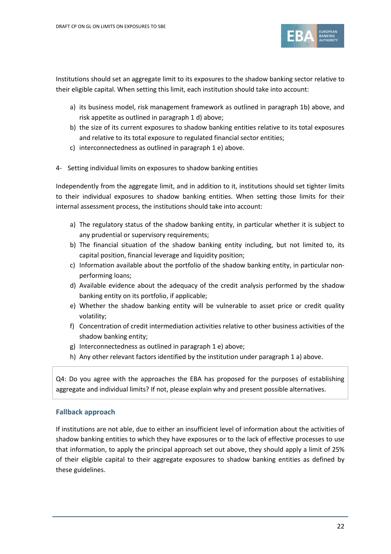

Institutions should set an aggregate limit to its exposures to the shadow banking sector relative to their eligible capital. When setting this limit, each institution should take into account:

- a) its business model, risk management framework as outlined in paragraph 1b) above, and risk appetite as outlined in paragraph 1 d) above;
- b) the size of its current exposures to shadow banking entities relative to its total exposures and relative to its total exposure to regulated financial sector entities;
- c) interconnectedness as outlined in paragraph 1 e) above.
- 4- Setting individual limits on exposures to shadow banking entities

Independently from the aggregate limit, and in addition to it, institutions should set tighter limits to their individual exposures to shadow banking entities. When setting those limits for their internal assessment process, the institutions should take into account:

- a) The regulatory status of the shadow banking entity, in particular whether it is subject to any prudential or supervisory requirements;
- b) The financial situation of the shadow banking entity including, but not limited to, its capital position, financial leverage and liquidity position;
- c) Information available about the portfolio of the shadow banking entity, in particular nonperforming loans;
- d) Available evidence about the adequacy of the credit analysis performed by the shadow banking entity on its portfolio, if applicable;
- e) Whether the shadow banking entity will be vulnerable to asset price or credit quality volatility;
- f) Concentration of credit intermediation activities relative to other business activities of the shadow banking entity;
- g) Interconnectedness as outlined in paragraph 1 e) above;
- h) Any other relevant factors identified by the institution under paragraph 1 a) above.

Q4: Do you agree with the approaches the EBA has proposed for the purposes of establishing aggregate and individual limits? If not, please explain why and present possible alternatives.

### **Fallback approach**

If institutions are not able, due to either an insufficient level of information about the activities of shadow banking entities to which they have exposures or to the lack of effective processes to use that information, to apply the principal approach set out above, they should apply a limit of 25% of their eligible capital to their aggregate exposures to shadow banking entities as defined by these guidelines.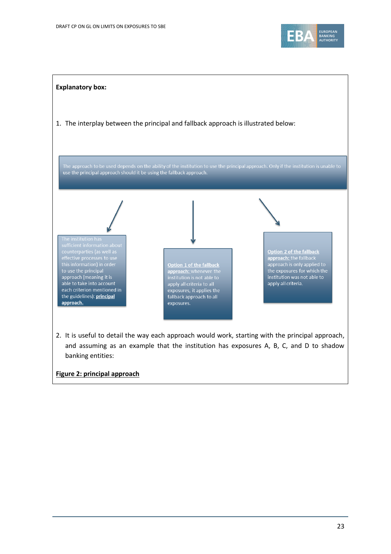



2. It is useful to detail the way each approach would work, starting with the principal approach, and assuming as an example that the institution has exposures A, B, C, and D to shadow banking entities:

### **Figure 2: principal approach**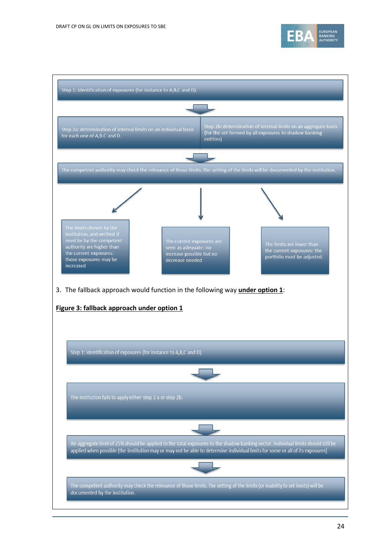

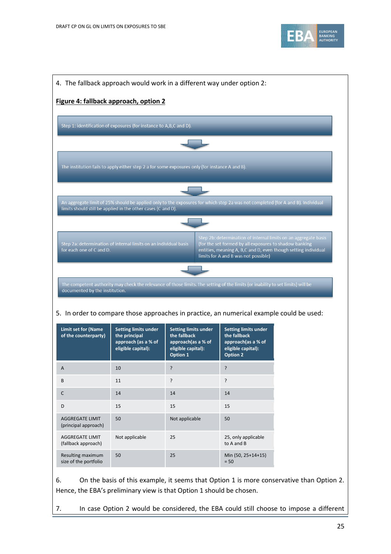

|                                                                                                      | Figure 4: fallback approach, option 2                                                     |                                                                                                                                                                                                                             |                                                                                                            |                                                                                                                                   |
|------------------------------------------------------------------------------------------------------|-------------------------------------------------------------------------------------------|-----------------------------------------------------------------------------------------------------------------------------------------------------------------------------------------------------------------------------|------------------------------------------------------------------------------------------------------------|-----------------------------------------------------------------------------------------------------------------------------------|
|                                                                                                      | Step 1: identification of exposures (for instance to A,B,C and D).                        |                                                                                                                                                                                                                             |                                                                                                            |                                                                                                                                   |
|                                                                                                      |                                                                                           |                                                                                                                                                                                                                             |                                                                                                            |                                                                                                                                   |
|                                                                                                      |                                                                                           | The institution fails to apply either step 2 a for some exposures only (for instance A and B).                                                                                                                              |                                                                                                            |                                                                                                                                   |
|                                                                                                      |                                                                                           |                                                                                                                                                                                                                             |                                                                                                            |                                                                                                                                   |
|                                                                                                      |                                                                                           |                                                                                                                                                                                                                             |                                                                                                            |                                                                                                                                   |
|                                                                                                      | limits should still be applied in the other cases (C and D).                              | An aggregate limit of 25% should be applied only to the exposures for which step 2a was not completed (for A and B). Individual                                                                                             |                                                                                                            |                                                                                                                                   |
|                                                                                                      |                                                                                           |                                                                                                                                                                                                                             |                                                                                                            |                                                                                                                                   |
| for each one of C and D.                                                                             | Step 2a: determination of internal limits on an individual basis                          |                                                                                                                                                                                                                             | (for the set formed by all exposures to shadow banking<br>limits for A and B was not possible)             | Step 2b: determination of internal limits on an aggregate basis<br>entities, meaning A, B,C and D, even though setting individual |
|                                                                                                      |                                                                                           |                                                                                                                                                                                                                             |                                                                                                            |                                                                                                                                   |
|                                                                                                      |                                                                                           |                                                                                                                                                                                                                             |                                                                                                            |                                                                                                                                   |
| documented by the institution.                                                                       |                                                                                           | The competent authority may check the relevance of those limits. The setting of the limits (or inability to set limits) will be<br>5. In order to compare those approaches in practice, an numerical example could be used: |                                                                                                            |                                                                                                                                   |
|                                                                                                      | <b>Setting limits under</b><br>the principal<br>approach (as a % of<br>eligible capital): | <b>Setting limits under</b><br>the fallback<br>approach(as a % of<br>eligible capital):<br>Option 1                                                                                                                         | <b>Setting limits under</b><br>the fallback<br>approach(as a % of<br>eligible capital):<br><b>Option 2</b> |                                                                                                                                   |
|                                                                                                      | 10                                                                                        | ?                                                                                                                                                                                                                           | ?                                                                                                          |                                                                                                                                   |
|                                                                                                      | 11                                                                                        | ŗ                                                                                                                                                                                                                           | ?                                                                                                          |                                                                                                                                   |
| <b>Limit set for (Name</b><br>of the counterparty)<br>A<br>B<br>C                                    | 14                                                                                        | 14                                                                                                                                                                                                                          | 14                                                                                                         |                                                                                                                                   |
|                                                                                                      | 15                                                                                        | 15                                                                                                                                                                                                                          | 15                                                                                                         |                                                                                                                                   |
|                                                                                                      | 50                                                                                        | Not applicable                                                                                                                                                                                                              | 50                                                                                                         |                                                                                                                                   |
| D<br><b>AGGREGATE LIMIT</b><br>(principal approach)<br><b>AGGREGATE LIMIT</b><br>(fallback approach) | Not applicable                                                                            | 25                                                                                                                                                                                                                          | 25, only applicable<br>to A and B                                                                          |                                                                                                                                   |

7. In case Option 2 would be considered, the EBA could still choose to impose a different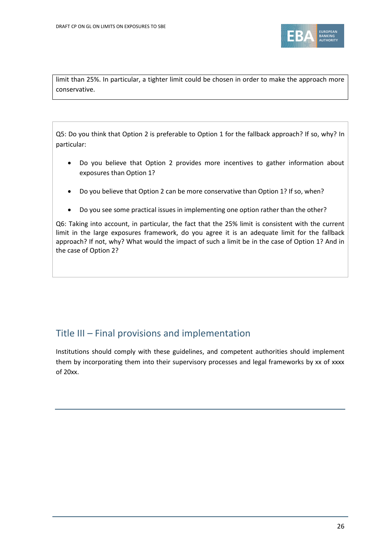

limit than 25%. In particular, a tighter limit could be chosen in order to make the approach more conservative.

Q5: Do you think that Option 2 is preferable to Option 1 for the fallback approach? If so, why? In particular:

- Do you believe that Option 2 provides more incentives to gather information about exposures than Option 1?
- Do you believe that Option 2 can be more conservative than Option 1? If so, when?
- Do you see some practical issues in implementing one option rather than the other?

Q6: Taking into account, in particular, the fact that the 25% limit is consistent with the current limit in the large exposures framework, do you agree it is an adequate limit for the fallback approach? If not, why? What would the impact of such a limit be in the case of Option 1? And in the case of Option 2?

## Title III – Final provisions and implementation

Institutions should comply with these guidelines, and competent authorities should implement them by incorporating them into their supervisory processes and legal frameworks by xx of xxxx of 20xx.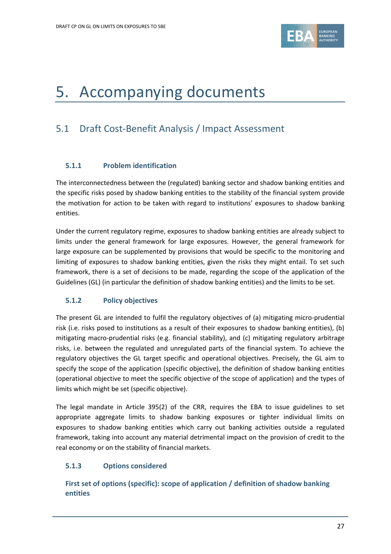

# 5. Accompanying documents

# 5.1 Draft Cost-Benefit Analysis / Impact Assessment

## **5.1.1 Problem identification**

The interconnectedness between the (regulated) banking sector and shadow banking entities and the specific risks posed by shadow banking entities to the stability of the financial system provide the motivation for action to be taken with regard to institutions' exposures to shadow banking entities.

Under the current regulatory regime, exposures to shadow banking entities are already subject to limits under the general framework for large exposures. However, the general framework for large exposure can be supplemented by provisions that would be specific to the monitoring and limiting of exposures to shadow banking entities, given the risks they might entail. To set such framework, there is a set of decisions to be made, regarding the scope of the application of the Guidelines (GL) (in particular the definition of shadow banking entities) and the limits to be set.

## **5.1.2 Policy objectives**

The present GL are intended to fulfil the regulatory objectives of (a) mitigating micro-prudential risk (i.e. risks posed to institutions as a result of their exposures to shadow banking entities), (b) mitigating macro-prudential risks (e.g. financial stability), and (c) mitigating regulatory arbitrage risks, i.e. between the regulated and unregulated parts of the financial system. To achieve the regulatory objectives the GL target specific and operational objectives. Precisely, the GL aim to specify the scope of the application (specific objective), the definition of shadow banking entities (operational objective to meet the specific objective of the scope of application) and the types of limits which might be set (specific objective).

The legal mandate in Article 395(2) of the CRR, requires the EBA to issue guidelines to set appropriate aggregate limits to shadow banking exposures or tighter individual limits on exposures to shadow banking entities which carry out banking activities outside a regulated framework, taking into account any material detrimental impact on the provision of credit to the real economy or on the stability of financial markets.

## **5.1.3 Options considered**

**First set of options (specific): scope of application / definition of shadow banking entities**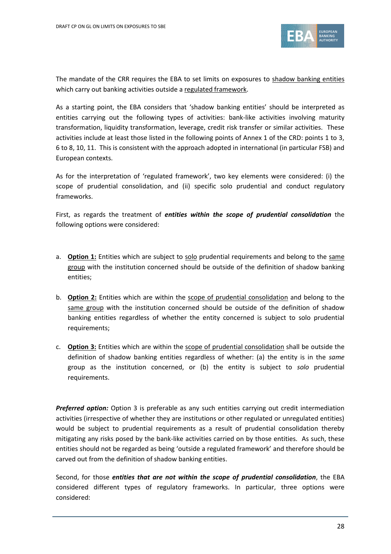

The mandate of the CRR requires the EBA to set limits on exposures to shadow banking entities which carry out banking activities outside a regulated framework.

As a starting point, the EBA considers that 'shadow banking entities' should be interpreted as entities carrying out the following types of activities: bank-like activities involving maturity transformation, liquidity transformation, leverage, credit risk transfer or similar activities. These activities include at least those listed in the following points of Annex 1 of the CRD: points 1 to 3, 6 to 8, 10, 11. This is consistent with the approach adopted in international (in particular FSB) and European contexts.

As for the interpretation of 'regulated framework', two key elements were considered: (i) the scope of prudential consolidation, and (ii) specific solo prudential and conduct regulatory frameworks.

First, as regards the treatment of *entities within the scope of prudential consolidation* the following options were considered:

- a. **Option 1:** Entities which are subject to solo prudential requirements and belong to the same group with the institution concerned should be outside of the definition of shadow banking entities;
- b. **Option 2:** Entities which are within the scope of prudential consolidation and belong to the same group with the institution concerned should be outside of the definition of shadow banking entities regardless of whether the entity concerned is subject to solo prudential requirements;
- c. **Option 3:** Entities which are within the scope of prudential consolidation shall be outside the definition of shadow banking entities regardless of whether: (a) the entity is in the *same* group as the institution concerned, or (b) the entity is subject to *solo* prudential requirements.

*Preferred option:* Option 3 is preferable as any such entities carrying out credit intermediation activities (irrespective of whether they are institutions or other regulated or unregulated entities) would be subject to prudential requirements as a result of prudential consolidation thereby mitigating any risks posed by the bank-like activities carried on by those entities. As such, these entities should not be regarded as being 'outside a regulated framework' and therefore should be carved out from the definition of shadow banking entities.

Second, for those *entities that are not within the scope of prudential consolidation*, the EBA considered different types of regulatory frameworks. In particular, three options were considered: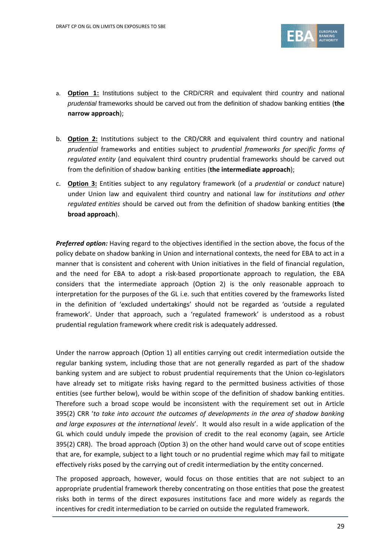

- a. **Option 1:** Institutions subject to the CRD/CRR and equivalent third country and national *prudential* frameworks should be carved out from the definition of shadow banking entities (**the narrow approach**);
- b. **Option 2:** Institutions subject to the CRD/CRR and equivalent third country and national *prudential* frameworks and entities subject to *prudential frameworks for specific forms of regulated entity* (and equivalent third country prudential frameworks should be carved out from the definition of shadow banking entities (**the intermediate approach**);
- c. **Option 3:** Entities subject to any regulatory framework (of a *prudential* or *conduct* nature) under Union law and equivalent third country and national law for *institutions and other regulated entities* should be carved out from the definition of shadow banking entities (**the broad approach**).

*Preferred option:* Having regard to the objectives identified in the section above, the focus of the policy debate on shadow banking in Union and international contexts, the need for EBA to act in a manner that is consistent and coherent with Union initiatives in the field of financial regulation, and the need for EBA to adopt a risk-based proportionate approach to regulation, the EBA considers that the intermediate approach (Option 2) is the only reasonable approach to interpretation for the purposes of the GL i.e. such that entities covered by the frameworks listed in the definition of 'excluded undertakings' should not be regarded as 'outside a regulated framework'. Under that approach, such a 'regulated framework' is understood as a robust prudential regulation framework where credit risk is adequately addressed.

Under the narrow approach (Option 1) all entities carrying out credit intermediation outside the regular banking system, including those that are not generally regarded as part of the shadow banking system and are subject to robust prudential requirements that the Union co-legislators have already set to mitigate risks having regard to the permitted business activities of those entities (see further below), would be within scope of the definition of shadow banking entities. Therefore such a broad scope would be inconsistent with the requirement set out in Article 395(2) CRR '*to take into account the outcomes of developments in the area of shadow banking and large exposures at the international levels*'. It would also result in a wide application of the GL which could unduly impede the provision of credit to the real economy (again, see Article 395(2) CRR). The broad approach (Option 3) on the other hand would carve out of scope entities that are, for example, subject to a light touch or no prudential regime which may fail to mitigate effectively risks posed by the carrying out of credit intermediation by the entity concerned.

The proposed approach, however, would focus on those entities that are not subject to an appropriate prudential framework thereby concentrating on those entities that pose the greatest risks both in terms of the direct exposures institutions face and more widely as regards the incentives for credit intermediation to be carried on outside the regulated framework.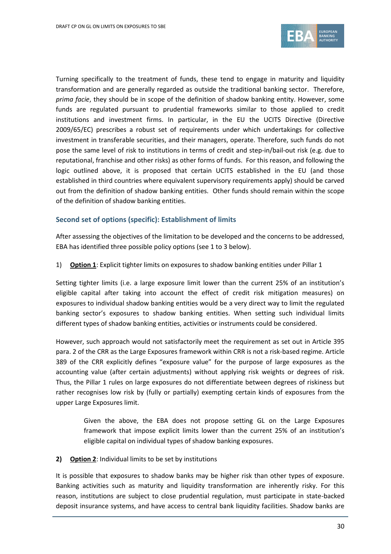

Turning specifically to the treatment of funds, these tend to engage in maturity and liquidity transformation and are generally regarded as outside the traditional banking sector. Therefore, *prima facie*, they should be in scope of the definition of shadow banking entity. However, some funds are regulated pursuant to prudential frameworks similar to those applied to credit institutions and investment firms. In particular, in the EU the UCITS Directive (Directive 2009/65/EC) prescribes a robust set of requirements under which undertakings for collective investment in transferable securities, and their managers, operate. Therefore, such funds do not pose the same level of risk to institutions in terms of credit and step-in/bail-out risk (e.g. due to reputational, franchise and other risks) as other forms of funds. For this reason, and following the logic outlined above, it is proposed that certain UCITS established in the EU (and those established in third countries where equivalent supervisory requirements apply) should be carved out from the definition of shadow banking entities. Other funds should remain within the scope of the definition of shadow banking entities.

### **Second set of options (specific): Establishment of limits**

After assessing the objectives of the limitation to be developed and the concerns to be addressed, EBA has identified three possible policy options (see 1 to 3 below).

1) **Option 1**: Explicit tighter limits on exposures to shadow banking entities under Pillar 1

Setting tighter limits (i.e. a large exposure limit lower than the current 25% of an institution's eligible capital after taking into account the effect of credit risk mitigation measures) on exposures to individual shadow banking entities would be a very direct way to limit the regulated banking sector's exposures to shadow banking entities. When setting such individual limits different types of shadow banking entities, activities or instruments could be considered.

However, such approach would not satisfactorily meet the requirement as set out in Article 395 para. 2 of the CRR as the Large Exposures framework within CRR is not a risk-based regime. Article 389 of the CRR explicitly defines "exposure value" for the purpose of large exposures as the accounting value (after certain adjustments) without applying risk weights or degrees of risk. Thus, the Pillar 1 rules on large exposures do not differentiate between degrees of riskiness but rather recognises low risk by (fully or partially) exempting certain kinds of exposures from the upper Large Exposures limit.

Given the above, the EBA does not propose setting GL on the Large Exposures framework that impose explicit limits lower than the current 25% of an institution's eligible capital on individual types of shadow banking exposures.

### **2) Option 2**: Individual limits to be set by institutions

It is possible that exposures to shadow banks may be higher risk than other types of exposure. Banking activities such as maturity and liquidity transformation are inherently risky. For this reason, institutions are subject to close prudential regulation, must participate in state-backed deposit insurance systems, and have access to central bank liquidity facilities. Shadow banks are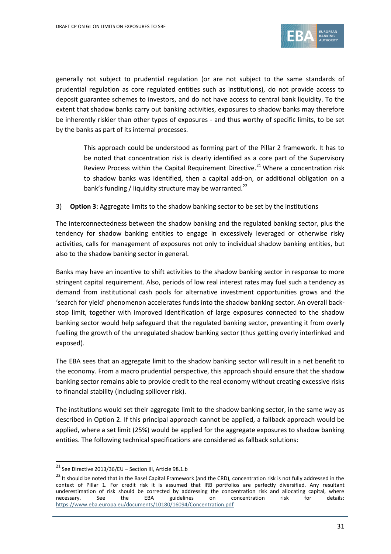

generally not subject to prudential regulation (or are not subject to the same standards of prudential regulation as core regulated entities such as institutions), do not provide access to deposit guarantee schemes to investors, and do not have access to central bank liquidity. To the extent that shadow banks carry out banking activities, exposures to shadow banks may therefore be inherently riskier than other types of exposures - and thus worthy of specific limits, to be set by the banks as part of its internal processes.

This approach could be understood as forming part of the Pillar 2 framework. It has to be noted that concentration risk is clearly identified as a core part of the Supervisory Review Process within the Capital Requirement Directive.<sup>21</sup> Where a concentration risk to shadow banks was identified, then a capital add-on, or additional obligation on a bank's funding / liquidity structure may be warranted.<sup>22</sup>

### 3) **Option 3**: Aggregate limits to the shadow banking sector to be set by the institutions

The interconnectedness between the shadow banking and the regulated banking sector, plus the tendency for shadow banking entities to engage in excessively leveraged or otherwise risky activities, calls for management of exposures not only to individual shadow banking entities, but also to the shadow banking sector in general.

Banks may have an incentive to shift activities to the shadow banking sector in response to more stringent capital requirement. Also, periods of low real interest rates may fuel such a tendency as demand from institutional cash pools for alternative investment opportunities grows and the 'search for yield' phenomenon accelerates funds into the shadow banking sector. An overall backstop limit, together with improved identification of large exposures connected to the shadow banking sector would help safeguard that the regulated banking sector, preventing it from overly fuelling the growth of the unregulated shadow banking sector (thus getting overly interlinked and exposed).

The EBA sees that an aggregate limit to the shadow banking sector will result in a net benefit to the economy. From a macro prudential perspective, this approach should ensure that the shadow banking sector remains able to provide credit to the real economy without creating excessive risks to financial stability (including spillover risk).

The institutions would set their aggregate limit to the shadow banking sector, in the same way as described in Option 2. If this principal approach cannot be applied, a fallback approach would be applied, where a set limit (25%) would be applied for the aggregate exposures to shadow banking entities. The following technical specifications are considered as fallback solutions:

 $^{21}$  See Directive 2013/36/EU – Section III, Article 98.1.b

<sup>&</sup>lt;sup>22</sup> It should be noted that in the Basel Capital Framework (and the CRD), concentration risk is not fully addressed in the context of Pillar 1. For credit risk it is assumed that IRB portfolios are perfectly diversified. Any resultant underestimation of risk should be corrected by addressing the concentration risk and allocating capital, where<br>
necessary. See the EBA guidelines on concentration risk for details: necessary. See the EBA guidelines on concentration risk for details: <https://www.eba.europa.eu/documents/10180/16094/Concentration.pdf>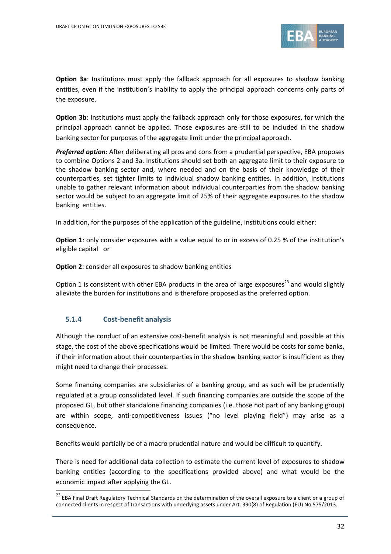

**Option 3a**: Institutions must apply the fallback approach for all exposures to shadow banking entities, even if the institution's inability to apply the principal approach concerns only parts of the exposure.

**Option 3b:** Institutions must apply the fallback approach only for those exposures, for which the principal approach cannot be applied. Those exposures are still to be included in the shadow banking sector for purposes of the aggregate limit under the principal approach.

*Preferred option:* After deliberating all pros and cons from a prudential perspective, EBA proposes to combine Options 2 and 3a. Institutions should set both an aggregate limit to their exposure to the shadow banking sector and, where needed and on the basis of their knowledge of their counterparties, set tighter limits to individual shadow banking entities. In addition, institutions unable to gather relevant information about individual counterparties from the shadow banking sector would be subject to an aggregate limit of 25% of their aggregate exposures to the shadow banking entities.

In addition, for the purposes of the application of the guideline, institutions could either:

**Option 1**: only consider exposures with a value equal to or in excess of 0.25 % of the institution's eligible capital or

**Option 2**: consider all exposures to shadow banking entities

Option 1 is consistent with other EBA products in the area of large exposures<sup>23</sup> and would slightly alleviate the burden for institutions and is therefore proposed as the preferred option.

## **5.1.4 Cost-benefit analysis**

1

Although the conduct of an extensive cost-benefit analysis is not meaningful and possible at this stage, the cost of the above specifications would be limited. There would be costs for some banks, if their information about their counterparties in the shadow banking sector is insufficient as they might need to change their processes.

Some financing companies are subsidiaries of a banking group, and as such will be prudentially regulated at a group consolidated level. If such financing companies are outside the scope of the proposed GL, but other standalone financing companies (i.e. those not part of any banking group) are within scope, anti-competitiveness issues ("no level playing field") may arise as a consequence.

Benefits would partially be of a macro prudential nature and would be difficult to quantify.

There is need for additional data collection to estimate the current level of exposures to shadow banking entities (according to the specifications provided above) and what would be the economic impact after applying the GL.

<sup>&</sup>lt;sup>23</sup> EBA Final Draft Regulatory Technical Standards on the determination of the overall exposure to a client or a group of connected clients in respect of transactions with underlying assets under Art. 390(8) of Regulation (EU) No 575/2013.